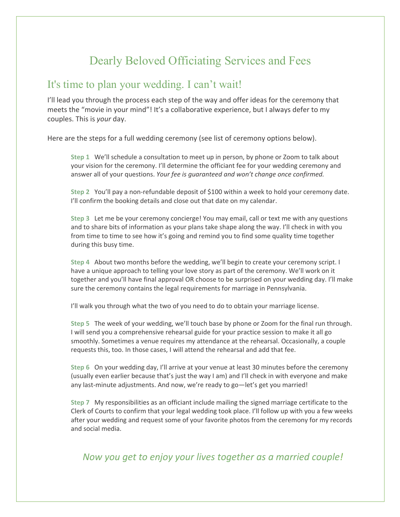# Dearly Beloved Officiating Services and Fees

## It's time to plan your wedding. I can't wait!

I'll lead you through the process each step of the way and offer ideas for the ceremony that meets the "movie in your mind"! It's a collaborative experience, but I always defer to my couples. This is *your* day.

Here are the steps for a full wedding ceremony (see list of ceremony options below).

**Step 1** We'll schedule a consultation to meet up in person, by phone or Zoom to talk about your vision for the ceremony. I'll determine the officiant fee for your wedding ceremony and answer all of your questions. *Your fee is guaranteed and won't change once confirmed.*

**Step 2** You'll pay a non-refundable deposit of \$100 within a week to hold your ceremony date. I'll confirm the booking details and close out that date on my calendar.

**Step 3** Let me be your ceremony concierge! You may email, call or text me with any questions and to share bits of information as your plans take shape along the way. I'll check in with you from time to time to see how it's going and remind you to find some quality time together during this busy time.

**Step 4** About two months before the wedding, we'll begin to create your ceremony script. I have a unique approach to telling your love story as part of the ceremony. We'll work on it together and you'll have final approval OR choose to be surprised on your wedding day. I'll make sure the ceremony contains the legal requirements for marriage in Pennsylvania.

I'll walk you through what the two of you need to do to obtain your marriage license.

**Step 5** The week of your wedding, we'll touch base by phone or Zoom for the final run through. I will send you a comprehensive rehearsal guide for your practice session to make it all go smoothly. Sometimes a venue requires my attendance at the rehearsal. Occasionally, a couple requests this, too. In those cases, I will attend the rehearsal and add that fee.

**Step 6** On your wedding day, I'll arrive at your venue at least 30 minutes before the ceremony (usually even earlier because that's just the way I am) and I'll check in with everyone and make any last-minute adjustments. And now, we're ready to go—let's get you married!

**Step 7** My responsibilities as an officiant include mailing the signed marriage certificate to the Clerk of Courts to confirm that your legal wedding took place. I'll follow up with you a few weeks after your wedding and request some of your favorite photos from the ceremony for my records and social media.

 *Now you get to enjoy your lives together as a married couple!*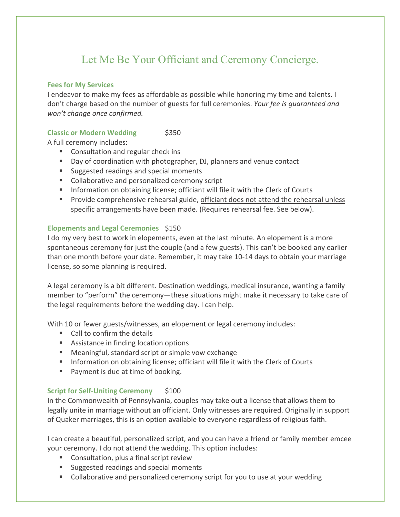## Let Me Be Your Officiant and Ceremony Concierge.

#### **Fees for My Services**

I endeavor to make my fees as affordable as possible while honoring my time and talents. I don't charge based on the number of guests for full ceremonies. *Your fee is guaranteed and won't change once confirmed.*

### **Classic or Modern Wedding \$350**

A full ceremony includes:

- Consultation and regular check ins
- Day of coordination with photographer, DJ, planners and venue contact
- Suggested readings and special moments
- Collaborative and personalized ceremony script
- Information on obtaining license; officiant will file it with the Clerk of Courts
- Provide comprehensive rehearsal guide, officiant does not attend the rehearsal unless specific arrangements have been made. (Requires rehearsal fee. See below).

### **Elopements and Legal Ceremonies** \$150

I do my very best to work in elopements, even at the last minute. An elopement is a more spontaneous ceremony for just the couple (and a few guests). This can't be booked any earlier than one month before your date. Remember, it may take 10-14 days to obtain your marriage license, so some planning is required.

A legal ceremony is a bit different. Destination weddings, medical insurance, wanting a family member to "perform" the ceremony—these situations might make it necessary to take care of the legal requirements before the wedding day. I can help.

With 10 or fewer guests/witnesses, an elopement or legal ceremony includes:

- Call to confirm the details
- Assistance in finding location options
- Meaningful, standard script or simple vow exchange
- Information on obtaining license; officiant will file it with the Clerk of Courts
- Payment is due at time of booking.

#### **Script for Self-Uniting Ceremony** \$100

In the Commonwealth of Pennsylvania, couples may take out a license that allows them to legally unite in marriage without an officiant. Only witnesses are required. Originally in support of Quaker marriages, this is an option available to everyone regardless of religious faith.

I can create a beautiful, personalized script, and you can have a friend or family member emcee your ceremony. I do not attend the wedding. This option includes:

- Consultation, plus a final script review
- Suggested readings and special moments
- Collaborative and personalized ceremony script for you to use at your wedding